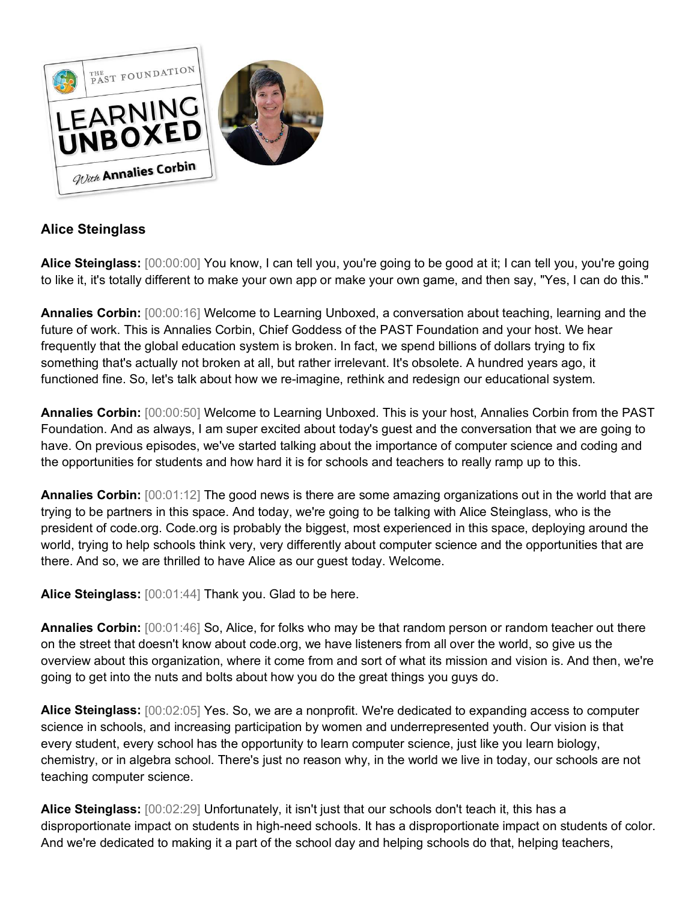

# **Alice Steinglass**

**Alice Steinglass:** [00:00:00] You know, I can tell you, you're going to be good at it; I can tell you, you're going to like it, it's totally different to make your own app or make your own game, and then say, "Yes, I can do this."

**Annalies Corbin:** [00:00:16] Welcome to Learning Unboxed, a conversation about teaching, learning and the future of work. This is Annalies Corbin, Chief Goddess of the PAST Foundation and your host. We hear frequently that the global education system is broken. In fact, we spend billions of dollars trying to fix something that's actually not broken at all, but rather irrelevant. It's obsolete. A hundred years ago, it functioned fine. So, let's talk about how we re-imagine, rethink and redesign our educational system.

**Annalies Corbin:** [00:00:50] Welcome to Learning Unboxed. This is your host, Annalies Corbin from the PAST Foundation. And as always, I am super excited about today's guest and the conversation that we are going to have. On previous episodes, we've started talking about the importance of computer science and coding and the opportunities for students and how hard it is for schools and teachers to really ramp up to this.

**Annalies Corbin:** [00:01:12] The good news is there are some amazing organizations out in the world that are trying to be partners in this space. And today, we're going to be talking with Alice Steinglass, who is the president of code.org. Code.org is probably the biggest, most experienced in this space, deploying around the world, trying to help schools think very, very differently about computer science and the opportunities that are there. And so, we are thrilled to have Alice as our guest today. Welcome.

**Alice Steinglass:** [00:01:44] Thank you. Glad to be here.

**Annalies Corbin:** [00:01:46] So, Alice, for folks who may be that random person or random teacher out there on the street that doesn't know about code.org, we have listeners from all over the world, so give us the overview about this organization, where it come from and sort of what its mission and vision is. And then, we're going to get into the nuts and bolts about how you do the great things you guys do.

**Alice Steinglass:** [00:02:05] Yes. So, we are a nonprofit. We're dedicated to expanding access to computer science in schools, and increasing participation by women and underrepresented youth. Our vision is that every student, every school has the opportunity to learn computer science, just like you learn biology, chemistry, or in algebra school. There's just no reason why, in the world we live in today, our schools are not teaching computer science.

**Alice Steinglass:** [00:02:29] Unfortunately, it isn't just that our schools don't teach it, this has a disproportionate impact on students in high-need schools. It has a disproportionate impact on students of color. And we're dedicated to making it a part of the school day and helping schools do that, helping teachers,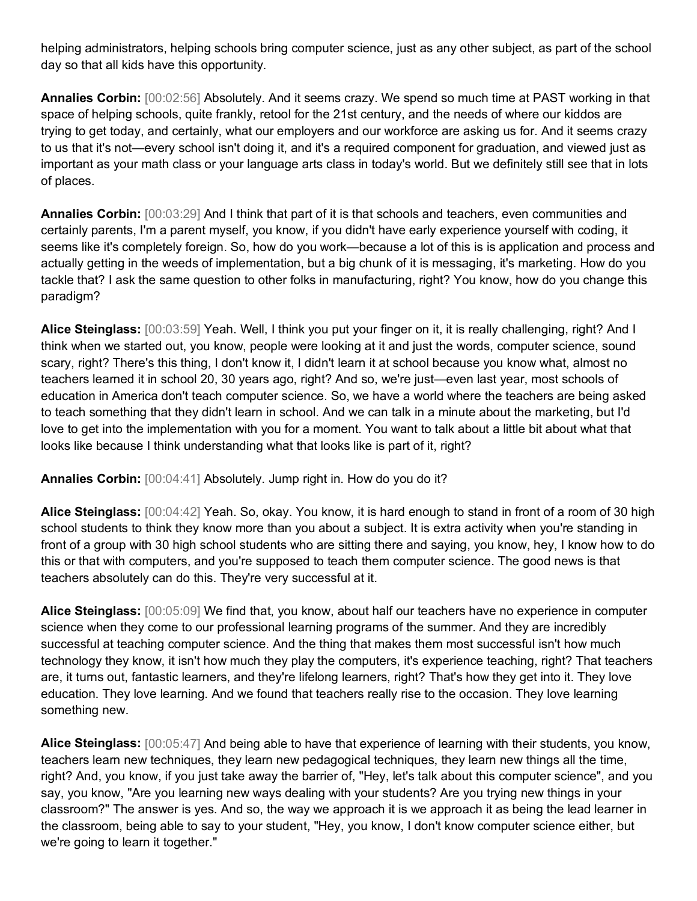helping administrators, helping schools bring computer science, just as any other subject, as part of the school day so that all kids have this opportunity.

**Annalies Corbin:** [00:02:56] Absolutely. And it seems crazy. We spend so much time at PAST working in that space of helping schools, quite frankly, retool for the 21st century, and the needs of where our kiddos are trying to get today, and certainly, what our employers and our workforce are asking us for. And it seems crazy to us that it's not—every school isn't doing it, and it's a required component for graduation, and viewed just as important as your math class or your language arts class in today's world. But we definitely still see that in lots of places.

**Annalies Corbin:** [00:03:29] And I think that part of it is that schools and teachers, even communities and certainly parents, I'm a parent myself, you know, if you didn't have early experience yourself with coding, it seems like it's completely foreign. So, how do you work—because a lot of this is is application and process and actually getting in the weeds of implementation, but a big chunk of it is messaging, it's marketing. How do you tackle that? I ask the same question to other folks in manufacturing, right? You know, how do you change this paradigm?

**Alice Steinglass:** [00:03:59] Yeah. Well, I think you put your finger on it, it is really challenging, right? And I think when we started out, you know, people were looking at it and just the words, computer science, sound scary, right? There's this thing, I don't know it, I didn't learn it at school because you know what, almost no teachers learned it in school 20, 30 years ago, right? And so, we're just—even last year, most schools of education in America don't teach computer science. So, we have a world where the teachers are being asked to teach something that they didn't learn in school. And we can talk in a minute about the marketing, but I'd love to get into the implementation with you for a moment. You want to talk about a little bit about what that looks like because I think understanding what that looks like is part of it, right?

**Annalies Corbin:** [00:04:41] Absolutely. Jump right in. How do you do it?

**Alice Steinglass:** [00:04:42] Yeah. So, okay. You know, it is hard enough to stand in front of a room of 30 high school students to think they know more than you about a subject. It is extra activity when you're standing in front of a group with 30 high school students who are sitting there and saying, you know, hey, I know how to do this or that with computers, and you're supposed to teach them computer science. The good news is that teachers absolutely can do this. They're very successful at it.

**Alice Steinglass:** [00:05:09] We find that, you know, about half our teachers have no experience in computer science when they come to our professional learning programs of the summer. And they are incredibly successful at teaching computer science. And the thing that makes them most successful isn't how much technology they know, it isn't how much they play the computers, it's experience teaching, right? That teachers are, it turns out, fantastic learners, and they're lifelong learners, right? That's how they get into it. They love education. They love learning. And we found that teachers really rise to the occasion. They love learning something new.

**Alice Steinglass:** [00:05:47] And being able to have that experience of learning with their students, you know, teachers learn new techniques, they learn new pedagogical techniques, they learn new things all the time, right? And, you know, if you just take away the barrier of, "Hey, let's talk about this computer science", and you say, you know, "Are you learning new ways dealing with your students? Are you trying new things in your classroom?" The answer is yes. And so, the way we approach it is we approach it as being the lead learner in the classroom, being able to say to your student, "Hey, you know, I don't know computer science either, but we're going to learn it together."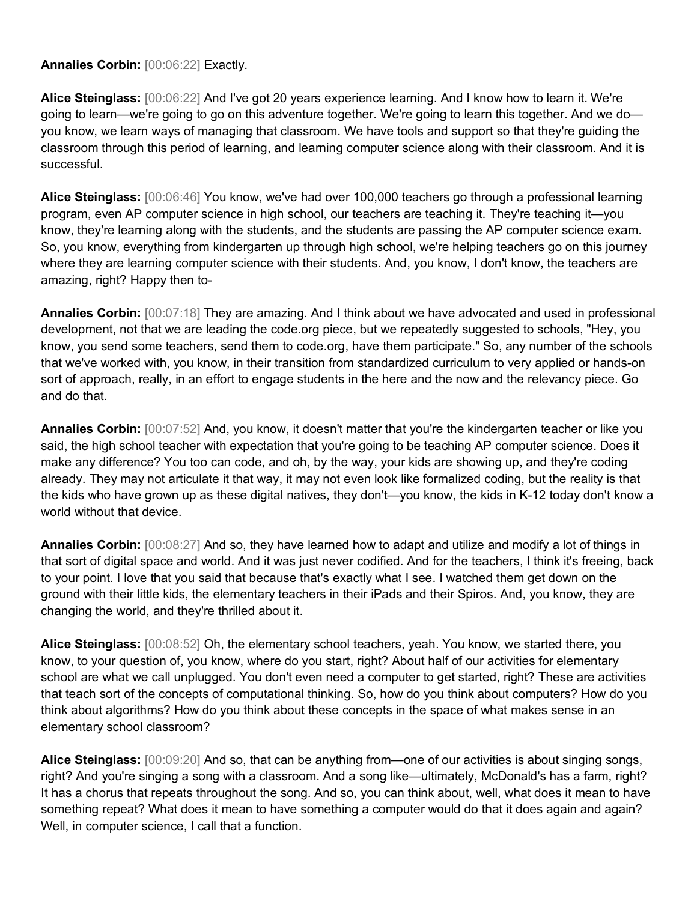**Annalies Corbin:** [00:06:22] Exactly.

**Alice Steinglass:** [00:06:22] And I've got 20 years experience learning. And I know how to learn it. We're going to learn—we're going to go on this adventure together. We're going to learn this together. And we do you know, we learn ways of managing that classroom. We have tools and support so that they're guiding the classroom through this period of learning, and learning computer science along with their classroom. And it is successful.

**Alice Steinglass:** [00:06:46] You know, we've had over 100,000 teachers go through a professional learning program, even AP computer science in high school, our teachers are teaching it. They're teaching it—you know, they're learning along with the students, and the students are passing the AP computer science exam. So, you know, everything from kindergarten up through high school, we're helping teachers go on this journey where they are learning computer science with their students. And, you know, I don't know, the teachers are amazing, right? Happy then to-

**Annalies Corbin:** [00:07:18] They are amazing. And I think about we have advocated and used in professional development, not that we are leading the code.org piece, but we repeatedly suggested to schools, "Hey, you know, you send some teachers, send them to code.org, have them participate." So, any number of the schools that we've worked with, you know, in their transition from standardized curriculum to very applied or hands-on sort of approach, really, in an effort to engage students in the here and the now and the relevancy piece. Go and do that.

**Annalies Corbin:** [00:07:52] And, you know, it doesn't matter that you're the kindergarten teacher or like you said, the high school teacher with expectation that you're going to be teaching AP computer science. Does it make any difference? You too can code, and oh, by the way, your kids are showing up, and they're coding already. They may not articulate it that way, it may not even look like formalized coding, but the reality is that the kids who have grown up as these digital natives, they don't—you know, the kids in K-12 today don't know a world without that device.

**Annalies Corbin:** [00:08:27] And so, they have learned how to adapt and utilize and modify a lot of things in that sort of digital space and world. And it was just never codified. And for the teachers, I think it's freeing, back to your point. I love that you said that because that's exactly what I see. I watched them get down on the ground with their little kids, the elementary teachers in their iPads and their Spiros. And, you know, they are changing the world, and they're thrilled about it.

**Alice Steinglass:** [00:08:52] Oh, the elementary school teachers, yeah. You know, we started there, you know, to your question of, you know, where do you start, right? About half of our activities for elementary school are what we call unplugged. You don't even need a computer to get started, right? These are activities that teach sort of the concepts of computational thinking. So, how do you think about computers? How do you think about algorithms? How do you think about these concepts in the space of what makes sense in an elementary school classroom?

**Alice Steinglass:** [00:09:20] And so, that can be anything from—one of our activities is about singing songs, right? And you're singing a song with a classroom. And a song like—ultimately, McDonald's has a farm, right? It has a chorus that repeats throughout the song. And so, you can think about, well, what does it mean to have something repeat? What does it mean to have something a computer would do that it does again and again? Well, in computer science, I call that a function.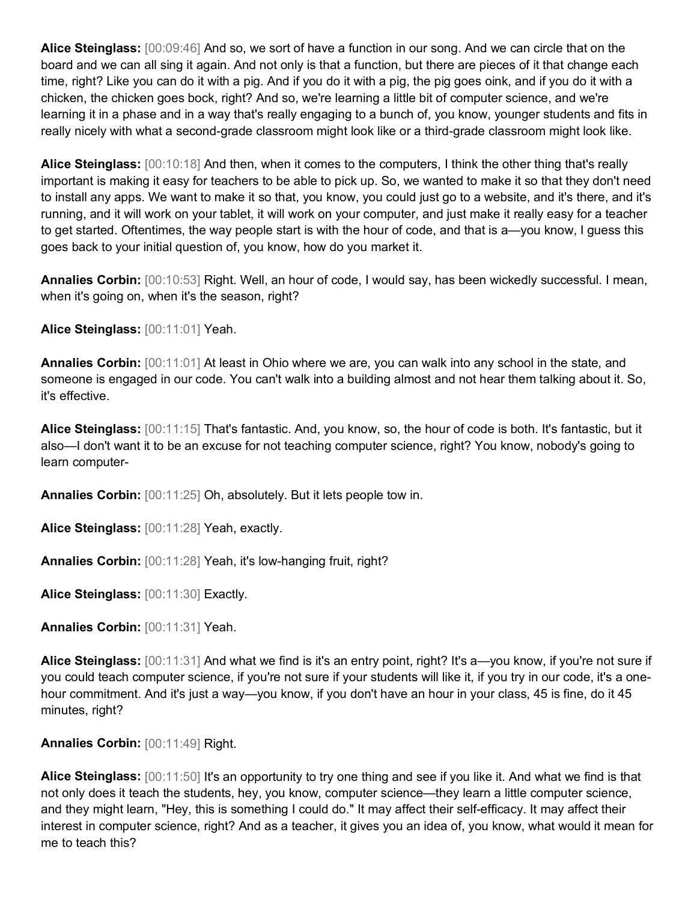**Alice Steinglass:** [00:09:46] And so, we sort of have a function in our song. And we can circle that on the board and we can all sing it again. And not only is that a function, but there are pieces of it that change each time, right? Like you can do it with a pig. And if you do it with a pig, the pig goes oink, and if you do it with a chicken, the chicken goes bock, right? And so, we're learning a little bit of computer science, and we're learning it in a phase and in a way that's really engaging to a bunch of, you know, younger students and fits in really nicely with what a second-grade classroom might look like or a third-grade classroom might look like.

**Alice Steinglass:** [00:10:18] And then, when it comes to the computers, I think the other thing that's really important is making it easy for teachers to be able to pick up. So, we wanted to make it so that they don't need to install any apps. We want to make it so that, you know, you could just go to a website, and it's there, and it's running, and it will work on your tablet, it will work on your computer, and just make it really easy for a teacher to get started. Oftentimes, the way people start is with the hour of code, and that is a—you know, I guess this goes back to your initial question of, you know, how do you market it.

**Annalies Corbin:** [00:10:53] Right. Well, an hour of code, I would say, has been wickedly successful. I mean, when it's going on, when it's the season, right?

**Alice Steinglass:** [00:11:01] Yeah.

**Annalies Corbin:** [00:11:01] At least in Ohio where we are, you can walk into any school in the state, and someone is engaged in our code. You can't walk into a building almost and not hear them talking about it. So, it's effective.

**Alice Steinglass:** [00:11:15] That's fantastic. And, you know, so, the hour of code is both. It's fantastic, but it also—I don't want it to be an excuse for not teaching computer science, right? You know, nobody's going to learn computer-

**Annalies Corbin:** [00:11:25] Oh, absolutely. But it lets people tow in.

**Alice Steinglass:** [00:11:28] Yeah, exactly.

**Annalies Corbin:** [00:11:28] Yeah, it's low-hanging fruit, right?

**Alice Steinglass:** [00:11:30] Exactly.

**Annalies Corbin:** [00:11:31] Yeah.

**Alice Steinglass:** [00:11:31] And what we find is it's an entry point, right? It's a—you know, if you're not sure if you could teach computer science, if you're not sure if your students will like it, if you try in our code, it's a onehour commitment. And it's just a way—you know, if you don't have an hour in your class, 45 is fine, do it 45 minutes, right?

**Annalies Corbin:** [00:11:49] Right.

**Alice Steinglass:** [00:11:50] It's an opportunity to try one thing and see if you like it. And what we find is that not only does it teach the students, hey, you know, computer science—they learn a little computer science, and they might learn, "Hey, this is something I could do." It may affect their self-efficacy. It may affect their interest in computer science, right? And as a teacher, it gives you an idea of, you know, what would it mean for me to teach this?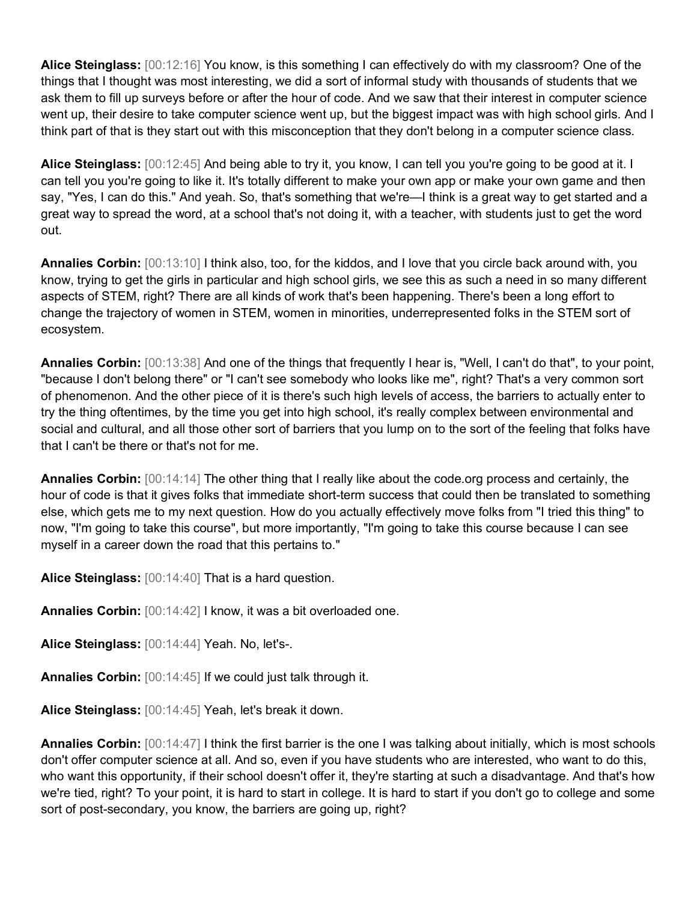**Alice Steinglass:** [00:12:16] You know, is this something I can effectively do with my classroom? One of the things that I thought was most interesting, we did a sort of informal study with thousands of students that we ask them to fill up surveys before or after the hour of code. And we saw that their interest in computer science went up, their desire to take computer science went up, but the biggest impact was with high school girls. And I think part of that is they start out with this misconception that they don't belong in a computer science class.

**Alice Steinglass:** [00:12:45] And being able to try it, you know, I can tell you you're going to be good at it. I can tell you you're going to like it. It's totally different to make your own app or make your own game and then say, "Yes, I can do this." And yeah. So, that's something that we're—I think is a great way to get started and a great way to spread the word, at a school that's not doing it, with a teacher, with students just to get the word out.

**Annalies Corbin:** [00:13:10] I think also, too, for the kiddos, and I love that you circle back around with, you know, trying to get the girls in particular and high school girls, we see this as such a need in so many different aspects of STEM, right? There are all kinds of work that's been happening. There's been a long effort to change the trajectory of women in STEM, women in minorities, underrepresented folks in the STEM sort of ecosystem.

**Annalies Corbin:** [00:13:38] And one of the things that frequently I hear is, "Well, I can't do that", to your point, "because I don't belong there" or "I can't see somebody who looks like me", right? That's a very common sort of phenomenon. And the other piece of it is there's such high levels of access, the barriers to actually enter to try the thing oftentimes, by the time you get into high school, it's really complex between environmental and social and cultural, and all those other sort of barriers that you lump on to the sort of the feeling that folks have that I can't be there or that's not for me.

**Annalies Corbin:** [00:14:14] The other thing that I really like about the code.org process and certainly, the hour of code is that it gives folks that immediate short-term success that could then be translated to something else, which gets me to my next question. How do you actually effectively move folks from "I tried this thing" to now, "I'm going to take this course", but more importantly, "I'm going to take this course because I can see myself in a career down the road that this pertains to."

**Alice Steinglass:** [00:14:40] That is a hard question.

**Annalies Corbin:** [00:14:42] I know, it was a bit overloaded one.

**Alice Steinglass:** [00:14:44] Yeah. No, let's-.

**Annalies Corbin:** [00:14:45] If we could just talk through it.

**Alice Steinglass:** [00:14:45] Yeah, let's break it down.

**Annalies Corbin:** [00:14:47] I think the first barrier is the one I was talking about initially, which is most schools don't offer computer science at all. And so, even if you have students who are interested, who want to do this, who want this opportunity, if their school doesn't offer it, they're starting at such a disadvantage. And that's how we're tied, right? To your point, it is hard to start in college. It is hard to start if you don't go to college and some sort of post-secondary, you know, the barriers are going up, right?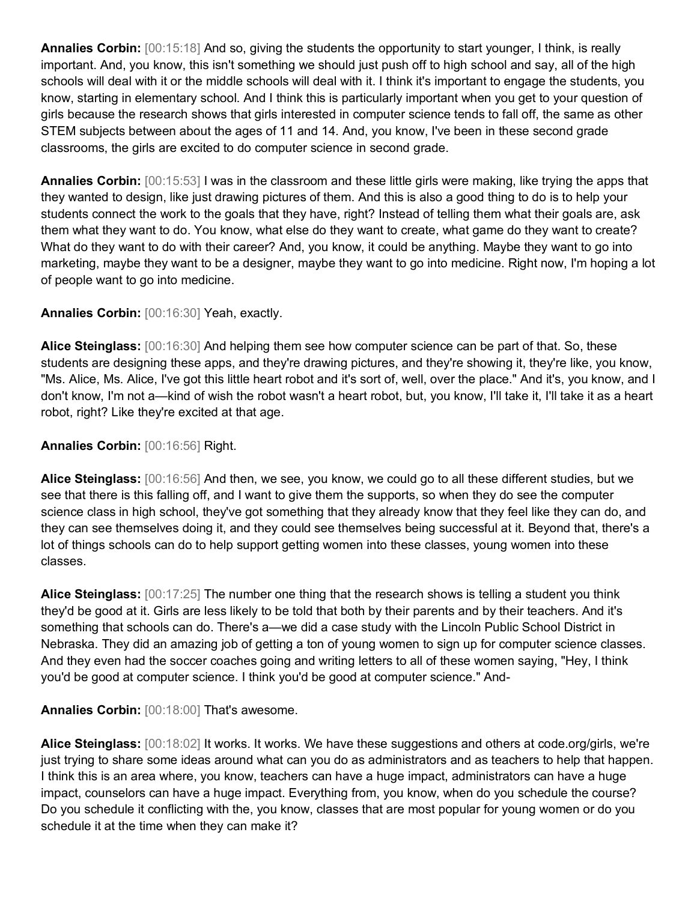**Annalies Corbin:** [00:15:18] And so, giving the students the opportunity to start younger, I think, is really important. And, you know, this isn't something we should just push off to high school and say, all of the high schools will deal with it or the middle schools will deal with it. I think it's important to engage the students, you know, starting in elementary school. And I think this is particularly important when you get to your question of girls because the research shows that girls interested in computer science tends to fall off, the same as other STEM subjects between about the ages of 11 and 14. And, you know, I've been in these second grade classrooms, the girls are excited to do computer science in second grade.

**Annalies Corbin:** [00:15:53] I was in the classroom and these little girls were making, like trying the apps that they wanted to design, like just drawing pictures of them. And this is also a good thing to do is to help your students connect the work to the goals that they have, right? Instead of telling them what their goals are, ask them what they want to do. You know, what else do they want to create, what game do they want to create? What do they want to do with their career? And, you know, it could be anything. Maybe they want to go into marketing, maybe they want to be a designer, maybe they want to go into medicine. Right now, I'm hoping a lot of people want to go into medicine.

## **Annalies Corbin:** [00:16:30] Yeah, exactly.

**Alice Steinglass:** [00:16:30] And helping them see how computer science can be part of that. So, these students are designing these apps, and they're drawing pictures, and they're showing it, they're like, you know, "Ms. Alice, Ms. Alice, I've got this little heart robot and it's sort of, well, over the place." And it's, you know, and I don't know, I'm not a—kind of wish the robot wasn't a heart robot, but, you know, I'll take it, I'll take it as a heart robot, right? Like they're excited at that age.

### **Annalies Corbin:** [00:16:56] Right.

**Alice Steinglass:** [00:16:56] And then, we see, you know, we could go to all these different studies, but we see that there is this falling off, and I want to give them the supports, so when they do see the computer science class in high school, they've got something that they already know that they feel like they can do, and they can see themselves doing it, and they could see themselves being successful at it. Beyond that, there's a lot of things schools can do to help support getting women into these classes, young women into these classes.

**Alice Steinglass:** [00:17:25] The number one thing that the research shows is telling a student you think they'd be good at it. Girls are less likely to be told that both by their parents and by their teachers. And it's something that schools can do. There's a—we did a case study with the Lincoln Public School District in Nebraska. They did an amazing job of getting a ton of young women to sign up for computer science classes. And they even had the soccer coaches going and writing letters to all of these women saying, "Hey, I think you'd be good at computer science. I think you'd be good at computer science." And-

#### **Annalies Corbin:** [00:18:00] That's awesome.

**Alice Steinglass:** [00:18:02] It works. It works. We have these suggestions and others at code.org/girls, we're just trying to share some ideas around what can you do as administrators and as teachers to help that happen. I think this is an area where, you know, teachers can have a huge impact, administrators can have a huge impact, counselors can have a huge impact. Everything from, you know, when do you schedule the course? Do you schedule it conflicting with the, you know, classes that are most popular for young women or do you schedule it at the time when they can make it?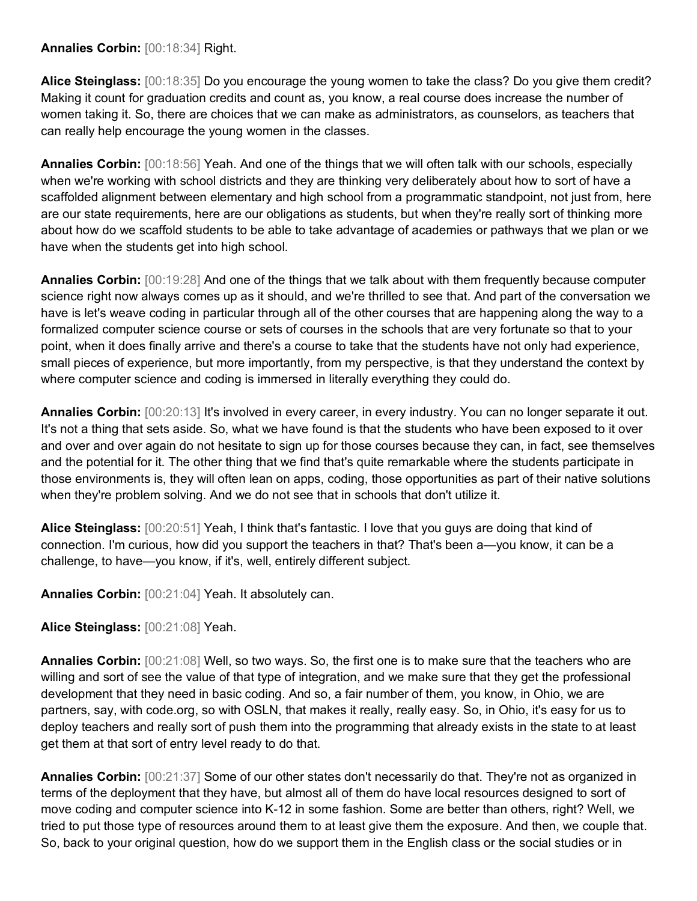#### **Annalies Corbin:** [00:18:34] Right.

**Alice Steinglass:** [00:18:35] Do you encourage the young women to take the class? Do you give them credit? Making it count for graduation credits and count as, you know, a real course does increase the number of women taking it. So, there are choices that we can make as administrators, as counselors, as teachers that can really help encourage the young women in the classes.

**Annalies Corbin:** [00:18:56] Yeah. And one of the things that we will often talk with our schools, especially when we're working with school districts and they are thinking very deliberately about how to sort of have a scaffolded alignment between elementary and high school from a programmatic standpoint, not just from, here are our state requirements, here are our obligations as students, but when they're really sort of thinking more about how do we scaffold students to be able to take advantage of academies or pathways that we plan or we have when the students get into high school.

**Annalies Corbin:** [00:19:28] And one of the things that we talk about with them frequently because computer science right now always comes up as it should, and we're thrilled to see that. And part of the conversation we have is let's weave coding in particular through all of the other courses that are happening along the way to a formalized computer science course or sets of courses in the schools that are very fortunate so that to your point, when it does finally arrive and there's a course to take that the students have not only had experience, small pieces of experience, but more importantly, from my perspective, is that they understand the context by where computer science and coding is immersed in literally everything they could do.

**Annalies Corbin:** [00:20:13] It's involved in every career, in every industry. You can no longer separate it out. It's not a thing that sets aside. So, what we have found is that the students who have been exposed to it over and over and over again do not hesitate to sign up for those courses because they can, in fact, see themselves and the potential for it. The other thing that we find that's quite remarkable where the students participate in those environments is, they will often lean on apps, coding, those opportunities as part of their native solutions when they're problem solving. And we do not see that in schools that don't utilize it.

**Alice Steinglass:** [00:20:51] Yeah, I think that's fantastic. I love that you guys are doing that kind of connection. I'm curious, how did you support the teachers in that? That's been a—you know, it can be a challenge, to have—you know, if it's, well, entirely different subject.

**Annalies Corbin:** [00:21:04] Yeah. It absolutely can.

#### **Alice Steinglass:** [00:21:08] Yeah.

**Annalies Corbin:** [00:21:08] Well, so two ways. So, the first one is to make sure that the teachers who are willing and sort of see the value of that type of integration, and we make sure that they get the professional development that they need in basic coding. And so, a fair number of them, you know, in Ohio, we are partners, say, with code.org, so with OSLN, that makes it really, really easy. So, in Ohio, it's easy for us to deploy teachers and really sort of push them into the programming that already exists in the state to at least get them at that sort of entry level ready to do that.

**Annalies Corbin:** [00:21:37] Some of our other states don't necessarily do that. They're not as organized in terms of the deployment that they have, but almost all of them do have local resources designed to sort of move coding and computer science into K-12 in some fashion. Some are better than others, right? Well, we tried to put those type of resources around them to at least give them the exposure. And then, we couple that. So, back to your original question, how do we support them in the English class or the social studies or in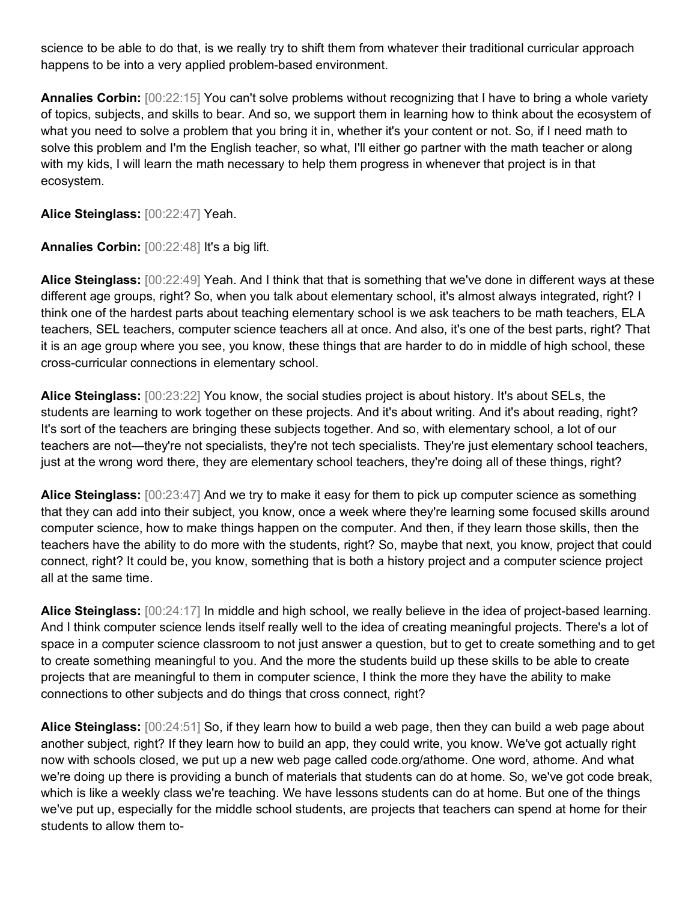science to be able to do that, is we really try to shift them from whatever their traditional curricular approach happens to be into a very applied problem-based environment.

**Annalies Corbin:** [00:22:15] You can't solve problems without recognizing that I have to bring a whole variety of topics, subjects, and skills to bear. And so, we support them in learning how to think about the ecosystem of what you need to solve a problem that you bring it in, whether it's your content or not. So, if I need math to solve this problem and I'm the English teacher, so what, I'll either go partner with the math teacher or along with my kids, I will learn the math necessary to help them progress in whenever that project is in that ecosystem.

**Alice Steinglass:** [00:22:47] Yeah.

**Annalies Corbin:** [00:22:48] It's a big lift.

**Alice Steinglass:** [00:22:49] Yeah. And I think that that is something that we've done in different ways at these different age groups, right? So, when you talk about elementary school, it's almost always integrated, right? I think one of the hardest parts about teaching elementary school is we ask teachers to be math teachers, ELA teachers, SEL teachers, computer science teachers all at once. And also, it's one of the best parts, right? That it is an age group where you see, you know, these things that are harder to do in middle of high school, these cross-curricular connections in elementary school.

**Alice Steinglass:** [00:23:22] You know, the social studies project is about history. It's about SELs, the students are learning to work together on these projects. And it's about writing. And it's about reading, right? It's sort of the teachers are bringing these subjects together. And so, with elementary school, a lot of our teachers are not—they're not specialists, they're not tech specialists. They're just elementary school teachers, just at the wrong word there, they are elementary school teachers, they're doing all of these things, right?

**Alice Steinglass:** [00:23:47] And we try to make it easy for them to pick up computer science as something that they can add into their subject, you know, once a week where they're learning some focused skills around computer science, how to make things happen on the computer. And then, if they learn those skills, then the teachers have the ability to do more with the students, right? So, maybe that next, you know, project that could connect, right? It could be, you know, something that is both a history project and a computer science project all at the same time.

**Alice Steinglass:** [00:24:17] In middle and high school, we really believe in the idea of project-based learning. And I think computer science lends itself really well to the idea of creating meaningful projects. There's a lot of space in a computer science classroom to not just answer a question, but to get to create something and to get to create something meaningful to you. And the more the students build up these skills to be able to create projects that are meaningful to them in computer science, I think the more they have the ability to make connections to other subjects and do things that cross connect, right?

**Alice Steinglass:** [00:24:51] So, if they learn how to build a web page, then they can build a web page about another subject, right? If they learn how to build an app, they could write, you know. We've got actually right now with schools closed, we put up a new web page called code.org/athome. One word, athome. And what we're doing up there is providing a bunch of materials that students can do at home. So, we've got code break, which is like a weekly class we're teaching. We have lessons students can do at home. But one of the things we've put up, especially for the middle school students, are projects that teachers can spend at home for their students to allow them to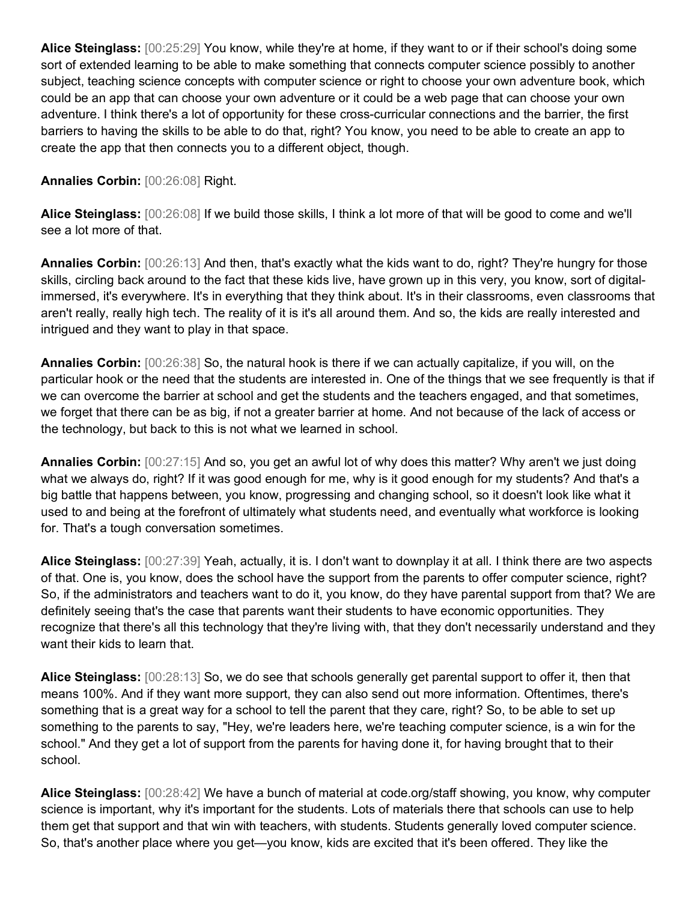**Alice Steinglass:** [00:25:29] You know, while they're at home, if they want to or if their school's doing some sort of extended learning to be able to make something that connects computer science possibly to another subject, teaching science concepts with computer science or right to choose your own adventure book, which could be an app that can choose your own adventure or it could be a web page that can choose your own adventure. I think there's a lot of opportunity for these cross-curricular connections and the barrier, the first barriers to having the skills to be able to do that, right? You know, you need to be able to create an app to create the app that then connects you to a different object, though.

#### **Annalies Corbin:** [00:26:08] Right.

**Alice Steinglass:** [00:26:08] If we build those skills, I think a lot more of that will be good to come and we'll see a lot more of that.

**Annalies Corbin:** [00:26:13] And then, that's exactly what the kids want to do, right? They're hungry for those skills, circling back around to the fact that these kids live, have grown up in this very, you know, sort of digitalimmersed, it's everywhere. It's in everything that they think about. It's in their classrooms, even classrooms that aren't really, really high tech. The reality of it is it's all around them. And so, the kids are really interested and intrigued and they want to play in that space.

**Annalies Corbin:** [00:26:38] So, the natural hook is there if we can actually capitalize, if you will, on the particular hook or the need that the students are interested in. One of the things that we see frequently is that if we can overcome the barrier at school and get the students and the teachers engaged, and that sometimes, we forget that there can be as big, if not a greater barrier at home. And not because of the lack of access or the technology, but back to this is not what we learned in school.

**Annalies Corbin:** [00:27:15] And so, you get an awful lot of why does this matter? Why aren't we just doing what we always do, right? If it was good enough for me, why is it good enough for my students? And that's a big battle that happens between, you know, progressing and changing school, so it doesn't look like what it used to and being at the forefront of ultimately what students need, and eventually what workforce is looking for. That's a tough conversation sometimes.

**Alice Steinglass:** [00:27:39] Yeah, actually, it is. I don't want to downplay it at all. I think there are two aspects of that. One is, you know, does the school have the support from the parents to offer computer science, right? So, if the administrators and teachers want to do it, you know, do they have parental support from that? We are definitely seeing that's the case that parents want their students to have economic opportunities. They recognize that there's all this technology that they're living with, that they don't necessarily understand and they want their kids to learn that.

**Alice Steinglass:** [00:28:13] So, we do see that schools generally get parental support to offer it, then that means 100%. And if they want more support, they can also send out more information. Oftentimes, there's something that is a great way for a school to tell the parent that they care, right? So, to be able to set up something to the parents to say, "Hey, we're leaders here, we're teaching computer science, is a win for the school." And they get a lot of support from the parents for having done it, for having brought that to their school.

**Alice Steinglass:** [00:28:42] We have a bunch of material at code.org/staff showing, you know, why computer science is important, why it's important for the students. Lots of materials there that schools can use to help them get that support and that win with teachers, with students. Students generally loved computer science. So, that's another place where you get—you know, kids are excited that it's been offered. They like the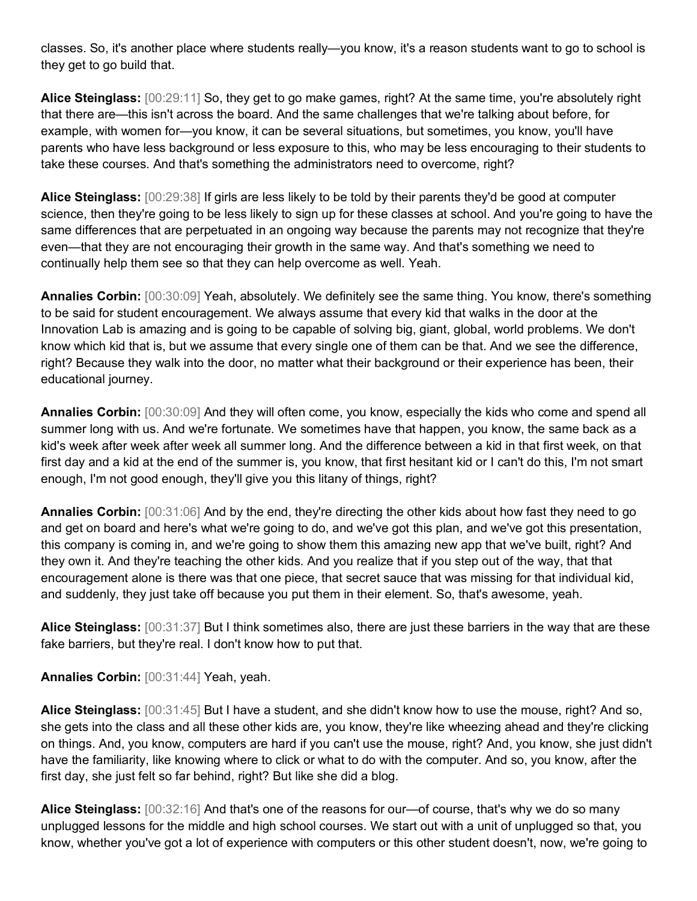classes. So, it's another place where students really—you know, it's a reason students want to go to school is they get to go build that.

**Alice Steinglass:** [00:29:11] So, they get to go make games, right? At the same time, you're absolutely right that there are—this isn't across the board. And the same challenges that we're talking about before, for example, with women for—you know, it can be several situations, but sometimes, you know, you'll have parents who have less background or less exposure to this, who may be less encouraging to their students to take these courses. And that's something the administrators need to overcome, right?

**Alice Steinglass:** [00:29:38] If girls are less likely to be told by their parents they'd be good at computer science, then they're going to be less likely to sign up for these classes at school. And you're going to have the same differences that are perpetuated in an ongoing way because the parents may not recognize that they're even—that they are not encouraging their growth in the same way. And that's something we need to continually help them see so that they can help overcome as well. Yeah.

**Annalies Corbin:** [00:30:09] Yeah, absolutely. We definitely see the same thing. You know, there's something to be said for student encouragement. We always assume that every kid that walks in the door at the Innovation Lab is amazing and is going to be capable of solving big, giant, global, world problems. We don't know which kid that is, but we assume that every single one of them can be that. And we see the difference, right? Because they walk into the door, no matter what their background or their experience has been, their educational journey.

**Annalies Corbin:** [00:30:09] And they will often come, you know, especially the kids who come and spend all summer long with us. And we're fortunate. We sometimes have that happen, you know, the same back as a kid's week after week after week all summer long. And the difference between a kid in that first week, on that first day and a kid at the end of the summer is, you know, that first hesitant kid or I can't do this, I'm not smart enough, I'm not good enough, they'll give you this litany of things, right?

**Annalies Corbin:** [00:31:06] And by the end, they're directing the other kids about how fast they need to go and get on board and here's what we're going to do, and we've got this plan, and we've got this presentation, this company is coming in, and we're going to show them this amazing new app that we've built, right? And they own it. And they're teaching the other kids. And you realize that if you step out of the way, that that encouragement alone is there was that one piece, that secret sauce that was missing for that individual kid, and suddenly, they just take off because you put them in their element. So, that's awesome, yeah.

**Alice Steinglass:** [00:31:37] But I think sometimes also, there are just these barriers in the way that are these fake barriers, but they're real. I don't know how to put that.

**Annalies Corbin:** [00:31:44] Yeah, yeah.

**Alice Steinglass:** [00:31:45] But I have a student, and she didn't know how to use the mouse, right? And so, she gets into the class and all these other kids are, you know, they're like wheezing ahead and they're clicking on things. And, you know, computers are hard if you can't use the mouse, right? And, you know, she just didn't have the familiarity, like knowing where to click or what to do with the computer. And so, you know, after the first day, she just felt so far behind, right? But like she did a blog.

**Alice Steinglass:** [00:32:16] And that's one of the reasons for our—of course, that's why we do so many unplugged lessons for the middle and high school courses. We start out with a unit of unplugged so that, you know, whether you've got a lot of experience with computers or this other student doesn't, now, we're going to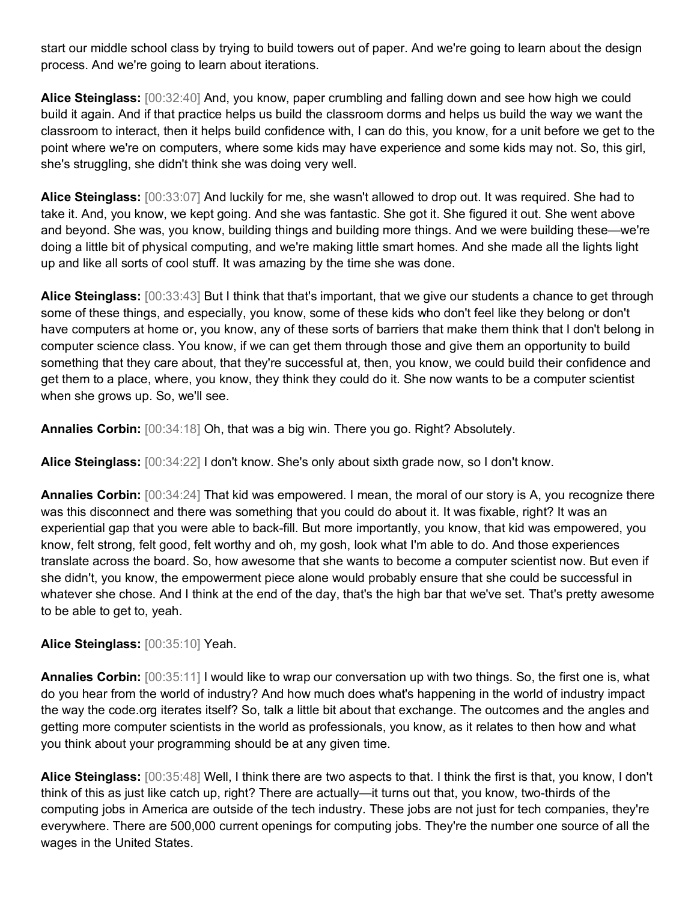start our middle school class by trying to build towers out of paper. And we're going to learn about the design process. And we're going to learn about iterations.

**Alice Steinglass:** [00:32:40] And, you know, paper crumbling and falling down and see how high we could build it again. And if that practice helps us build the classroom dorms and helps us build the way we want the classroom to interact, then it helps build confidence with, I can do this, you know, for a unit before we get to the point where we're on computers, where some kids may have experience and some kids may not. So, this girl, she's struggling, she didn't think she was doing very well.

**Alice Steinglass:** [00:33:07] And luckily for me, she wasn't allowed to drop out. It was required. She had to take it. And, you know, we kept going. And she was fantastic. She got it. She figured it out. She went above and beyond. She was, you know, building things and building more things. And we were building these—we're doing a little bit of physical computing, and we're making little smart homes. And she made all the lights light up and like all sorts of cool stuff. It was amazing by the time she was done.

**Alice Steinglass:** [00:33:43] But I think that that's important, that we give our students a chance to get through some of these things, and especially, you know, some of these kids who don't feel like they belong or don't have computers at home or, you know, any of these sorts of barriers that make them think that I don't belong in computer science class. You know, if we can get them through those and give them an opportunity to build something that they care about, that they're successful at, then, you know, we could build their confidence and get them to a place, where, you know, they think they could do it. She now wants to be a computer scientist when she grows up. So, we'll see.

**Annalies Corbin:** [00:34:18] Oh, that was a big win. There you go. Right? Absolutely.

**Alice Steinglass:** [00:34:22] I don't know. She's only about sixth grade now, so I don't know.

**Annalies Corbin:** [00:34:24] That kid was empowered. I mean, the moral of our story is A, you recognize there was this disconnect and there was something that you could do about it. It was fixable, right? It was an experiential gap that you were able to back-fill. But more importantly, you know, that kid was empowered, you know, felt strong, felt good, felt worthy and oh, my gosh, look what I'm able to do. And those experiences translate across the board. So, how awesome that she wants to become a computer scientist now. But even if she didn't, you know, the empowerment piece alone would probably ensure that she could be successful in whatever she chose. And I think at the end of the day, that's the high bar that we've set. That's pretty awesome to be able to get to, yeah.

**Alice Steinglass:** [00:35:10] Yeah.

**Annalies Corbin:** [00:35:11] I would like to wrap our conversation up with two things. So, the first one is, what do you hear from the world of industry? And how much does what's happening in the world of industry impact the way the code.org iterates itself? So, talk a little bit about that exchange. The outcomes and the angles and getting more computer scientists in the world as professionals, you know, as it relates to then how and what you think about your programming should be at any given time.

**Alice Steinglass:** [00:35:48] Well, I think there are two aspects to that. I think the first is that, you know, I don't think of this as just like catch up, right? There are actually—it turns out that, you know, two-thirds of the computing jobs in America are outside of the tech industry. These jobs are not just for tech companies, they're everywhere. There are 500,000 current openings for computing jobs. They're the number one source of all the wages in the United States.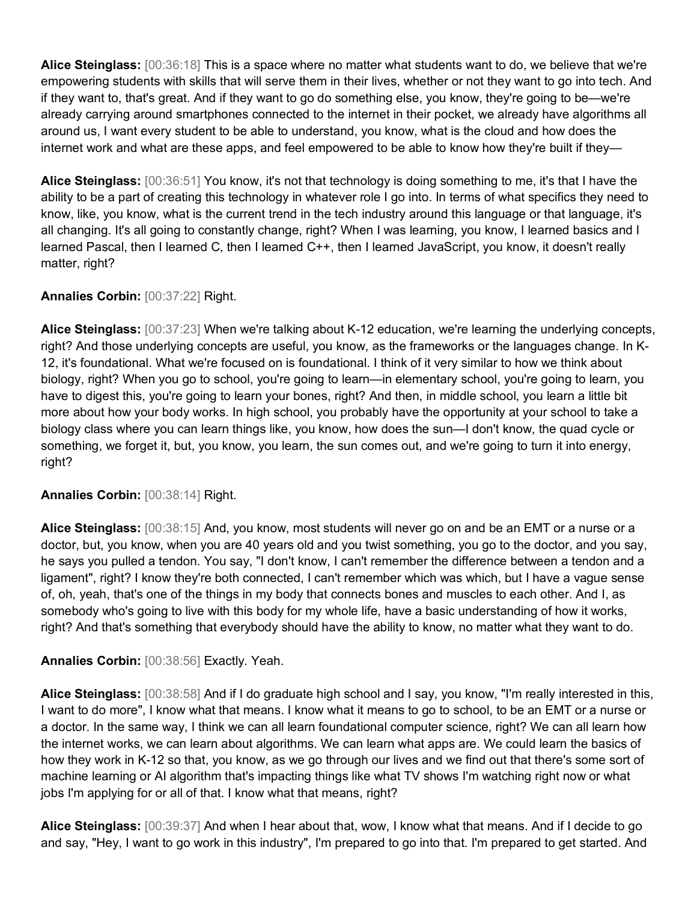**Alice Steinglass:** [00:36:18] This is a space where no matter what students want to do, we believe that we're empowering students with skills that will serve them in their lives, whether or not they want to go into tech. And if they want to, that's great. And if they want to go do something else, you know, they're going to be—we're already carrying around smartphones connected to the internet in their pocket, we already have algorithms all around us, I want every student to be able to understand, you know, what is the cloud and how does the internet work and what are these apps, and feel empowered to be able to know how they're built if they-

**Alice Steinglass:** [00:36:51] You know, it's not that technology is doing something to me, it's that I have the ability to be a part of creating this technology in whatever role I go into. In terms of what specifics they need to know, like, you know, what is the current trend in the tech industry around this language or that language, it's all changing. It's all going to constantly change, right? When I was learning, you know, I learned basics and I learned Pascal, then I learned C, then I learned C++, then I learned JavaScript, you know, it doesn't really matter, right?

## **Annalies Corbin:** [00:37:22] Right.

**Alice Steinglass:** [00:37:23] When we're talking about K-12 education, we're learning the underlying concepts, right? And those underlying concepts are useful, you know, as the frameworks or the languages change. In K-12, it's foundational. What we're focused on is foundational. I think of it very similar to how we think about biology, right? When you go to school, you're going to learn—in elementary school, you're going to learn, you have to digest this, you're going to learn your bones, right? And then, in middle school, you learn a little bit more about how your body works. In high school, you probably have the opportunity at your school to take a biology class where you can learn things like, you know, how does the sun—I don't know, the quad cycle or something, we forget it, but, you know, you learn, the sun comes out, and we're going to turn it into energy, right?

#### **Annalies Corbin:** [00:38:14] Right.

**Alice Steinglass:** [00:38:15] And, you know, most students will never go on and be an EMT or a nurse or a doctor, but, you know, when you are 40 years old and you twist something, you go to the doctor, and you say, he says you pulled a tendon. You say, "I don't know, I can't remember the difference between a tendon and a ligament", right? I know they're both connected, I can't remember which was which, but I have a vague sense of, oh, yeah, that's one of the things in my body that connects bones and muscles to each other. And I, as somebody who's going to live with this body for my whole life, have a basic understanding of how it works, right? And that's something that everybody should have the ability to know, no matter what they want to do.

#### **Annalies Corbin:** [00:38:56] Exactly. Yeah.

**Alice Steinglass:** [00:38:58] And if I do graduate high school and I say, you know, "I'm really interested in this, I want to do more", I know what that means. I know what it means to go to school, to be an EMT or a nurse or a doctor. In the same way, I think we can all learn foundational computer science, right? We can all learn how the internet works, we can learn about algorithms. We can learn what apps are. We could learn the basics of how they work in K-12 so that, you know, as we go through our lives and we find out that there's some sort of machine learning or AI algorithm that's impacting things like what TV shows I'm watching right now or what jobs I'm applying for or all of that. I know what that means, right?

**Alice Steinglass:** [00:39:37] And when I hear about that, wow, I know what that means. And if I decide to go and say, "Hey, I want to go work in this industry", I'm prepared to go into that. I'm prepared to get started. And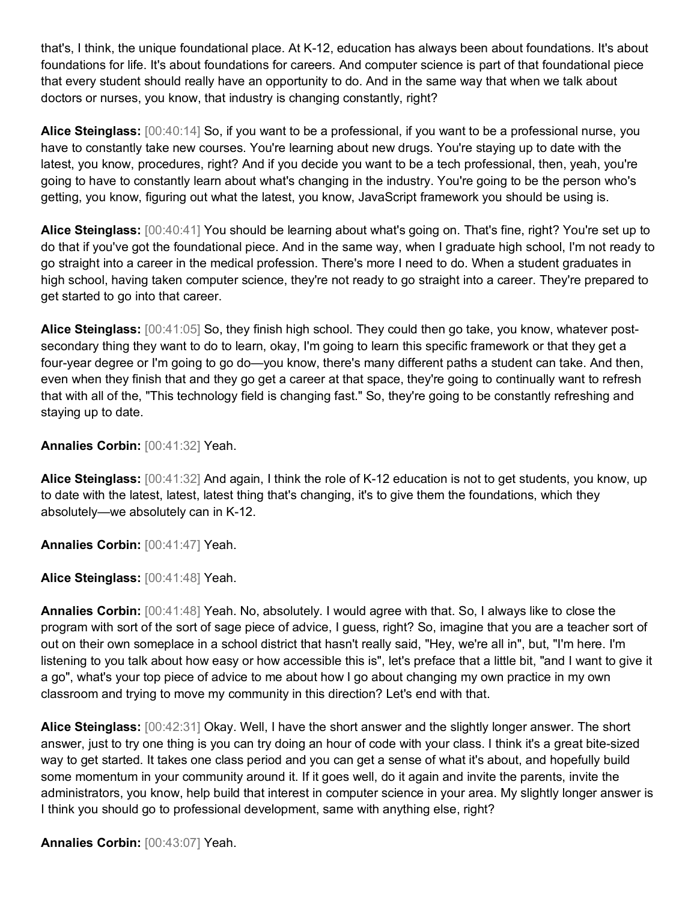that's, I think, the unique foundational place. At K-12, education has always been about foundations. It's about foundations for life. It's about foundations for careers. And computer science is part of that foundational piece that every student should really have an opportunity to do. And in the same way that when we talk about doctors or nurses, you know, that industry is changing constantly, right?

**Alice Steinglass:** [00:40:14] So, if you want to be a professional, if you want to be a professional nurse, you have to constantly take new courses. You're learning about new drugs. You're staying up to date with the latest, you know, procedures, right? And if you decide you want to be a tech professional, then, yeah, you're going to have to constantly learn about what's changing in the industry. You're going to be the person who's getting, you know, figuring out what the latest, you know, JavaScript framework you should be using is.

**Alice Steinglass:** [00:40:41] You should be learning about what's going on. That's fine, right? You're set up to do that if you've got the foundational piece. And in the same way, when I graduate high school, I'm not ready to go straight into a career in the medical profession. There's more I need to do. When a student graduates in high school, having taken computer science, they're not ready to go straight into a career. They're prepared to get started to go into that career.

**Alice Steinglass:** [00:41:05] So, they finish high school. They could then go take, you know, whatever postsecondary thing they want to do to learn, okay, I'm going to learn this specific framework or that they get a four-year degree or I'm going to go do—you know, there's many different paths a student can take. And then, even when they finish that and they go get a career at that space, they're going to continually want to refresh that with all of the, "This technology field is changing fast." So, they're going to be constantly refreshing and staying up to date.

**Annalies Corbin:** [00:41:32] Yeah.

**Alice Steinglass:** [00:41:32] And again, I think the role of K-12 education is not to get students, you know, up to date with the latest, latest, latest thing that's changing, it's to give them the foundations, which they absolutely—we absolutely can in K-12.

**Annalies Corbin:** [00:41:47] Yeah.

**Alice Steinglass:** [00:41:48] Yeah.

**Annalies Corbin:** [00:41:48] Yeah. No, absolutely. I would agree with that. So, I always like to close the program with sort of the sort of sage piece of advice, I guess, right? So, imagine that you are a teacher sort of out on their own someplace in a school district that hasn't really said, "Hey, we're all in", but, "I'm here. I'm listening to you talk about how easy or how accessible this is", let's preface that a little bit, "and I want to give it a go", what's your top piece of advice to me about how I go about changing my own practice in my own classroom and trying to move my community in this direction? Let's end with that.

**Alice Steinglass:** [00:42:31] Okay. Well, I have the short answer and the slightly longer answer. The short answer, just to try one thing is you can try doing an hour of code with your class. I think it's a great bite-sized way to get started. It takes one class period and you can get a sense of what it's about, and hopefully build some momentum in your community around it. If it goes well, do it again and invite the parents, invite the administrators, you know, help build that interest in computer science in your area. My slightly longer answer is I think you should go to professional development, same with anything else, right?

**Annalies Corbin:** [00:43:07] Yeah.